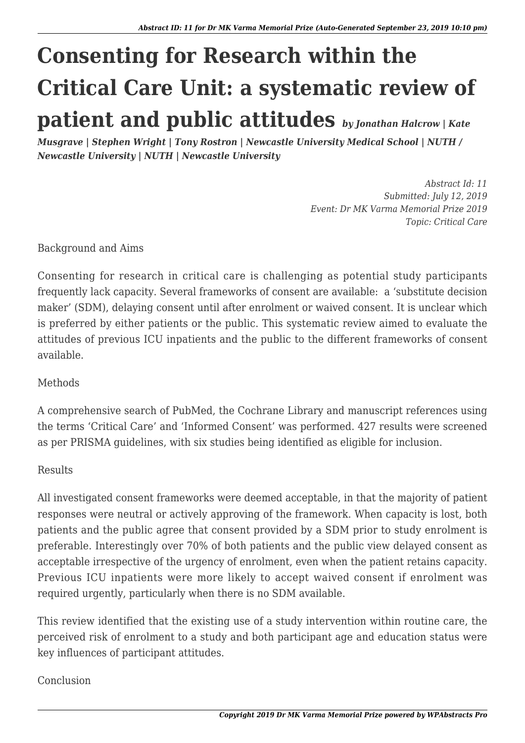## **Consenting for Research within the Critical Care Unit: a systematic review of patient and public attitudes** *by Jonathan Halcrow | Kate*

*Musgrave | Stephen Wright | Tony Rostron | Newcastle University Medical School | NUTH / Newcastle University | NUTH | Newcastle University*

> *Abstract Id: 11 Submitted: July 12, 2019 Event: Dr MK Varma Memorial Prize 2019 Topic: Critical Care*

Background and Aims

Consenting for research in critical care is challenging as potential study participants frequently lack capacity. Several frameworks of consent are available: a 'substitute decision maker' (SDM), delaying consent until after enrolment or waived consent. It is unclear which is preferred by either patients or the public. This systematic review aimed to evaluate the attitudes of previous ICU inpatients and the public to the different frameworks of consent available.

## Methods

A comprehensive search of PubMed, the Cochrane Library and manuscript references using the terms 'Critical Care' and 'Informed Consent' was performed. 427 results were screened as per PRISMA guidelines, with six studies being identified as eligible for inclusion.

## Results

All investigated consent frameworks were deemed acceptable, in that the majority of patient responses were neutral or actively approving of the framework. When capacity is lost, both patients and the public agree that consent provided by a SDM prior to study enrolment is preferable. Interestingly over 70% of both patients and the public view delayed consent as acceptable irrespective of the urgency of enrolment, even when the patient retains capacity. Previous ICU inpatients were more likely to accept waived consent if enrolment was required urgently, particularly when there is no SDM available.

This review identified that the existing use of a study intervention within routine care, the perceived risk of enrolment to a study and both participant age and education status were key influences of participant attitudes.

## Conclusion